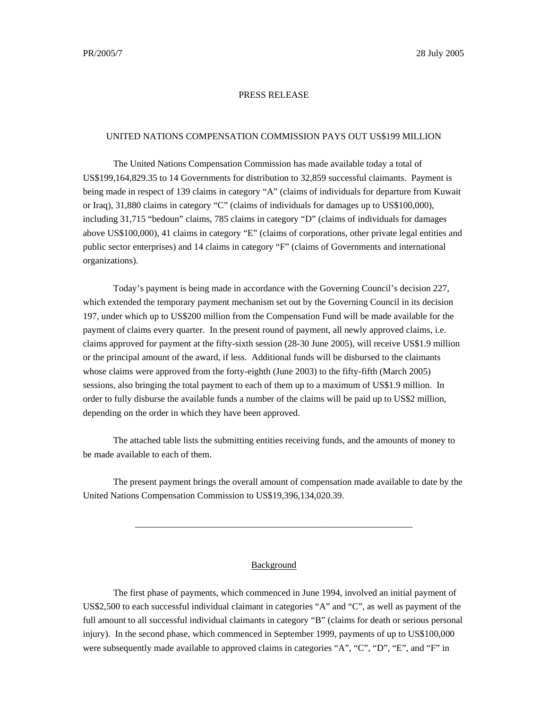## PRESS RELEASE

#### UNITED NATIONS COMPENSATION COMMISSION PAYS OUT US\$199 MILLION

The United Nations Compensation Commission has made available today a total of US\$199,164,829.35 to 14 Governments for distribution to 32,859 successful claimants. Payment is being made in respect of 139 claims in category "A" (claims of individuals for departure from Kuwait or Iraq), 31,880 claims in category "C" (claims of individuals for damages up to US\$100,000), including 31,715 "bedoun" claims, 785 claims in category "D" (claims of individuals for damages above US\$100,000), 41 claims in category "E" (claims of corporations, other private legal entities and public sector enterprises) and 14 claims in category "F" (claims of Governments and international organizations).

Today's payment is being made in accordance with the Governing Council's decision 227, which extended the temporary payment mechanism set out by the Governing Council in its decision 197, under which up to US\$200 million from the Compensation Fund will be made available for the payment of claims every quarter. In the present round of payment, all newly approved claims, i.e. claims approved for payment at the fifty-sixth session (28-30 June 2005), will receive US\$1.9 million or the principal amount of the award, if less. Additional funds will be disbursed to the claimants whose claims were approved from the forty-eighth (June 2003) to the fifty-fifth (March 2005) sessions, also bringing the total payment to each of them up to a maximum of US\$1.9 million. In order to fully disburse the available funds a number of the claims will be paid up to US\$2 million, depending on the order in which they have been approved.

The attached table lists the submitting entities receiving funds, and the amounts of money to be made available to each of them.

The present payment brings the overall amount of compensation made available to date by the United Nations Compensation Commission to US\$19,396,134,020.39.

\_\_\_\_\_\_\_\_\_\_\_\_\_\_\_\_\_\_\_\_\_\_\_\_\_\_\_\_\_\_\_\_\_\_\_\_\_\_\_\_\_\_\_\_\_\_\_\_\_\_\_\_\_\_\_\_\_\_\_\_

## **Background**

The first phase of payments, which commenced in June 1994, involved an initial payment of US\$2,500 to each successful individual claimant in categories "A" and "C", as well as payment of the full amount to all successful individual claimants in category "B" (claims for death or serious personal injury). In the second phase, which commenced in September 1999, payments of up to US\$100,000 were subsequently made available to approved claims in categories "A", "C", "D", "E", and "F" in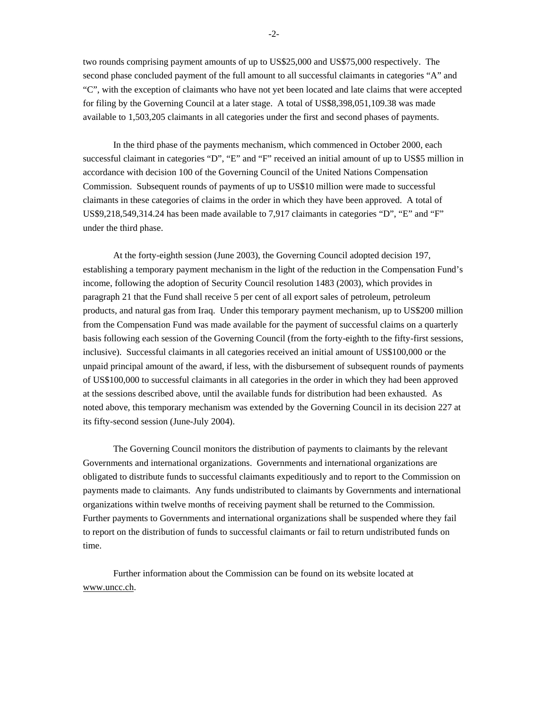two rounds comprising payment amounts of up to US\$25,000 and US\$75,000 respectively. The second phase concluded payment of the full amount to all successful claimants in categories "A" and "C", with the exception of claimants who have not yet been located and late claims that were accepted for filing by the Governing Council at a later stage. A total of US\$8,398,051,109.38 was made available to 1,503,205 claimants in all categories under the first and second phases of payments.

In the third phase of the payments mechanism, which commenced in October 2000, each successful claimant in categories "D", "E" and "F" received an initial amount of up to US\$5 million in accordance with decision 100 of the Governing Council of the United Nations Compensation Commission. Subsequent rounds of payments of up to US\$10 million were made to successful claimants in these categories of claims in the order in which they have been approved. A total of US\$9,218,549,314.24 has been made available to 7,917 claimants in categories "D", "E" and "F" under the third phase.

At the forty-eighth session (June 2003), the Governing Council adopted decision 197, establishing a temporary payment mechanism in the light of the reduction in the Compensation Fund's income, following the adoption of Security Council resolution 1483 (2003), which provides in paragraph 21 that the Fund shall receive 5 per cent of all export sales of petroleum, petroleum products, and natural gas from Iraq. Under this temporary payment mechanism, up to US\$200 million from the Compensation Fund was made available for the payment of successful claims on a quarterly basis following each session of the Governing Council (from the forty-eighth to the fifty-first sessions, inclusive). Successful claimants in all categories received an initial amount of US\$100,000 or the unpaid principal amount of the award, if less, with the disbursement of subsequent rounds of payments of US\$100,000 to successful claimants in all categories in the order in which they had been approved at the sessions described above, until the available funds for distribution had been exhausted. As noted above, this temporary mechanism was extended by the Governing Council in its decision 227 at its fifty-second session (June-July 2004).

The Governing Council monitors the distribution of payments to claimants by the relevant Governments and international organizations. Governments and international organizations are obligated to distribute funds to successful claimants expeditiously and to report to the Commission on payments made to claimants. Any funds undistributed to claimants by Governments and international organizations within twelve months of receiving payment shall be returned to the Commission. Further payments to Governments and international organizations shall be suspended where they fail to report on the distribution of funds to successful claimants or fail to return undistributed funds on time.

Further information about the Commission can be found on its website located at www.uncc.ch.

-2-